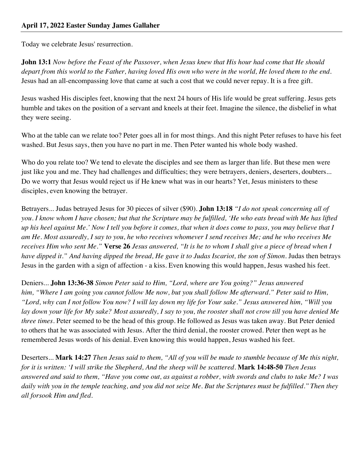Today we celebrate Jesus' resurrection.

**John 13:1** *Now before the Feast of the Passover, when Jesus knew that His hour had come that He should depart from this world to the Father, having loved His own who were in the world, He loved them to the end.*  Jesus had an all-encompassing love that came at such a cost that we could never repay. It is a free gift.

Jesus washed His disciples feet, knowing that the next 24 hours of His life would be great suffering. Jesus gets humble and takes on the position of a servant and kneels at their feet. Imagine the silence, the disbelief in what they were seeing.

Who at the table can we relate too? Peter goes all in for most things. And this night Peter refuses to have his feet washed. But Jesus says, then you have no part in me. Then Peter wanted his whole body washed.

Who do you relate too? We tend to elevate the disciples and see them as larger than life. But these men were just like you and me. They had challenges and difficulties; they were betrayers, deniers, deserters, doubters... Do we worry that Jesus would reject us if He knew what was in our hearts? Yet, Jesus ministers to these disciples, even knowing the betrayer.

Betrayers... Judas betrayed Jesus for 30 pieces of silver (\$90). **John 13:18** *"I do not speak concerning all of you. I know whom I have chosen; but that the Scripture may be fulfilled, 'He who eats bread with Me has lifted up his heel against Me.' Now I tell you before it comes, that when it does come to pass, you may believe that I am He. Most assuredly, I say to you, he who receives whomever I send receives Me; and he who receives Me receives Him who sent Me."* **Verse 26** *Jesus answered, "It is he to whom I shall give a piece of bread when I have dipped it." And having dipped the bread, He gave it to Judas Iscariot, the son of Simon.* Judas then betrays Jesus in the garden with a sign of affection - a kiss. Even knowing this would happen, Jesus washed his feet.

Deniers... **John 13:36-38** *Simon Peter said to Him, "Lord, where are You going?" Jesus answered him, "Where I am going you cannot follow Me now, but you shall follow Me afterward." Peter said to Him, "Lord, why can I not follow You now? I will lay down my life for Your sake." Jesus answered him, "Will you lay down your life for My sake? Most assuredly, I say to you, the rooster shall not crow till you have denied Me three times.* Peter seemed to be the head of this group. He followed as Jesus was taken away. But Peter denied to others that he was associated with Jesus. After the third denial, the rooster crowed. Peter then wept as he remembered Jesus words of his denial. Even knowing this would happen, Jesus washed his feet.

Deserters... **Mark 14:27** *Then Jesus said to them, "All of you will be made to stumble because of Me this night, for it is written: 'I will strike the Shepherd, And the sheep will be scattered.* **Mark 14:48-50** *Then Jesus answered and said to them, "Have you come out, as against a robber, with swords and clubs to take Me? I was daily with you in the temple teaching, and you did not seize Me. But the Scriptures must be fulfilled." Then they all forsook Him and fled.*